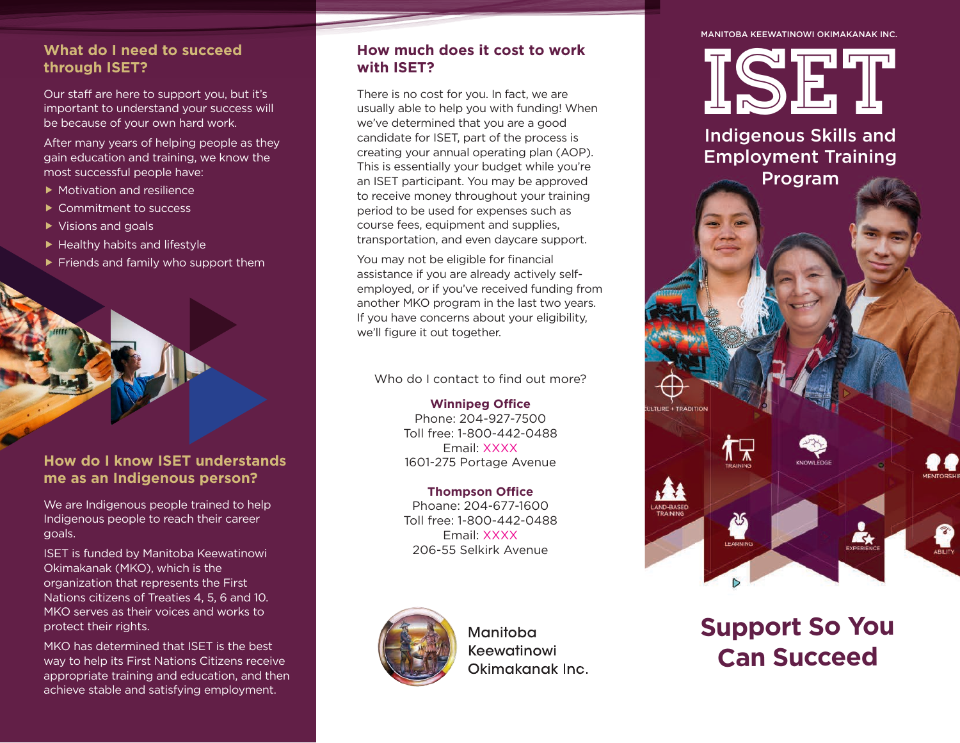#### **What do I need to succeed through ISET?**

Our staff are here to support you, but it's important to understand your success will be because of your own hard work.

After many years of helping people as they gain education and training, we know the most successful people have:

- ▶ Motivation and resilience
- ▶ Commitment to success
- ▶ Visions and goals
- $\blacktriangleright$  Healthy habits and lifestyle
- $\blacktriangleright$  Friends and family who support them

# **How do I know ISET understands me as an Indigenous person?**

We are Indigenous people trained to help Indigenous people to reach their career goals.

ISET is funded by Manitoba Keewatinowi Okimakanak (MKO), which is the organization that represents the First Nations citizens of Treaties 4, 5, 6 and 10. MKO serves as their voices and works to protect their rights.

MKO has determined that ISET is the best way to help its First Nations Citizens receive appropriate training and education, and then achieve stable and satisfying employment.

#### **How much does it cost to work with ISET?**

There is no cost for you. In fact, we are usually able to help you with funding! When we've determined that you are a good candidate for ISET, part of the process is creating your annual operating plan (AOP). This is essentially your budget while you're an ISET participant. You may be approved to receive money throughout your training period to be used for expenses such as course fees, equipment and supplies, transportation, and even daycare support.

You may not be eligible for financial assistance if you are already actively selfemployed, or if you've received funding from another MKO program in the last two years. If you have concerns about your eligibility, we'll figure it out together.

Who do I contact to find out more?

**Winnipeg Office** Phone: 204-927-7500 Toll free: 1-800-442-0488 Email: XXXX 1601-275 Portage Avenue

#### **Thompson Office** Phoane: 204-677-1600 Toll free: 1-800-442-0488 Email: XXXX

206-55 Selkirk Avenue

Manitoba Keewatinowi Okimakanak Inc.

#### MANITOBA KEEWATINOWI OKIMAKANAK INC.

ISE T

Employment Training

Program



AND-BASED